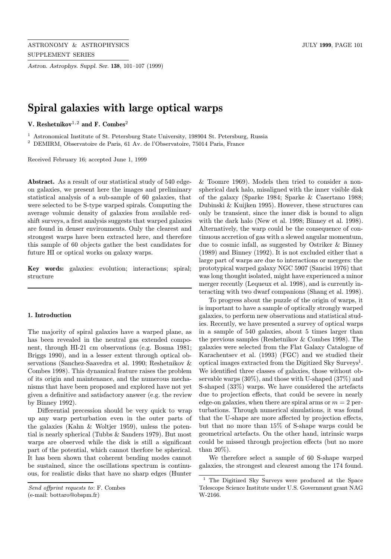Astron. Astrophys. Suppl. Ser. 138, 101–107 (1999)

# Spiral galaxies with large optical warps

V. Reshetnikov<sup>1,2</sup> and F. Combes<sup>2</sup>

<sup>1</sup> Astronomical Institute of St. Petersburg State University, 198904 St. Petersburg, Russia

<sup>2</sup> DEMIRM, Observatoire de Paris, 61 Av. de l'Observatoire, 75014 Paris, France

Received February 16; accepted June 1, 1999

Abstract. As a result of our statistical study of 540 edgeon galaxies, we present here the images and preliminary statistical analysis of a sub-sample of 60 galaxies, that were selected to be S-type warped spirals. Computing the average volumic density of galaxies from available redshift surveys, a first analysis suggests that warped galaxies are found in denser environments. Only the clearest and strongest warps have been extracted here, and therefore this sample of 60 objects gather the best candidates for future HI or optical works on galaxy warps.

Key words: galaxies: evolution; interactions; spiral; structure

### 1. Introduction

The majority of spiral galaxies have a warped plane, as has been revealed in the neutral gas extended component, through HI-21 cm observations (e.g. Bosma 1981; Briggs 1990), and in a lesser extent through optical observations (Sanchez-Saavedra et al. 1990; Reshetnikov & Combes 1998). This dynamical feature raises the problem of its origin and maintenance, and the numerous mechanisms that have been proposed and explored have not yet given a definitive and satisfactory answer (e.g. the review by Binney 1992).

Differential precession should be very quick to wrap up any warp perturbation even in the outer parts of the galaxies (Kahn & Woltjer 1959), unless the potential is nearly spherical (Tubbs & Sanders 1979). But most warps are observed while the disk is still a significant part of the potential, which cannot therfore be spherical. It has been shown that coherent bending modes cannot be sustained, since the oscillations spectrum is continuous, for realistic disks that have no sharp edges (Hunter

& Toomre 1969). Models then tried to consider a nonspherical dark halo, misaligned with the inner visible disk of the galaxy (Sparke 1984; Sparke & Casertano 1988; Dubinski & Kuijken 1995). However, these structures can only be transient, since the inner disk is bound to align with the dark halo (New et al. 1998; Binney et al. 1998). Alternatively, the warp could be the consequence of continuous accretion of gas with a slewed angular momentum, due to cosmic infall, as suggested by Ostriker & Binney (1989) and Binney (1992). It is not excluded either that a large part of warps are due to interactions or mergers: the prototypical warped galaxy NGC 5907 (Sancisi 1976) that was long thought isolated, might have experienced a minor merger recently (Lequeux et al. 1998), and is currently interacting with two dwarf companions (Shang et al. 1998).

To progress about the puzzle of the origin of warps, it is important to have a sample of optically strongly warped galaxies, to perform new observations and statistical studies. Recently, we have presented a survey of optical warps in a sample of 540 galaxies, about 5 times larger than the previous samples (Reshetnikov & Combes 1998). The galaxies were selected from the Flat Galaxy Catalogue of Karachentsev et al. (1993) (FGC) and we studied their optical images extracted from the Digitized Sky Surveys<sup>1</sup>. We identified three classes of galaxies, those without observable warps (30%), and those with U-shaped (37%) and S-shaped (33%) warps. We have considered the artefacts due to projection effects, that could be severe in nearly edge-on galaxies, when there are spiral arms or  $m = 2$  perturbations. Through numerical simulations, it was found that the U-shape are more affected by projection effects, but that no more than 15% of S-shape warps could be geometrical artefacts. On the other hand, intrinsic warps could be missed through projection effects (but no more than 20%).

We therefore select a sample of 60 S-shape warped galaxies, the strongest and clearest among the 174 found.

Send offprint requests to: F. Combes

<sup>(</sup>e-mail: bottaro@obspm.fr)

<sup>1</sup> The Digitized Sky Surveys were produced at the Space Telescope Science Institute under U.S. Government grant NAG W-2166.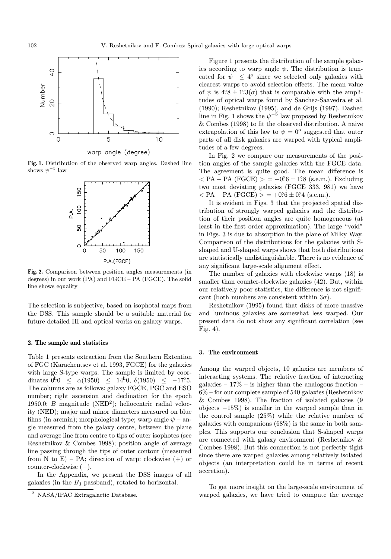

Fig. 1. Distribution of the observed warp angles. Dashed line shows  $\psi^{-5}$  law



Fig. 2. Comparison between position angles measurements (in degrees) in our work (PA) and FGCE – PA (FGCE). The solid line shows equality

The selection is subjective, based on isophotal maps from the DSS. This sample should be a suitable material for future detailed HI and optical works on galaxy warps.

## 2. The sample and statistics

Table 1 presents extraction from the Southern Extention of FGC (Karachentsev et al. 1993, FGCE) for the galaxies with large S-type warps. The sample is limited by coor- ${\rm dinates} \ \ 0\rlap{.}^{\rm h}0 \ \ \leq \ \ \alpha(1950) \ \ \leq \ \ 14\rlap{.}^{\rm h}0, \ \delta(1950) \ \ \leq \ \ -17\rlap{.}^{\rm o}5.$ The columns are as follows: galaxy FGCE, PGC and ESO number; right ascension and declination for the epoch 1950.0; B magnitude (NED<sup>2</sup>); heliocentric radial velocity (NED); major and minor diameters measured on blue films (in arcmin); morphological type; warp angle  $\psi$  – angle measured from the galaxy centre, between the plane and average line from centre to tips of outer isophotes (see Reshetnikov & Combes 1998); position angle of average line passing through the tips of outer contour (measured from N to E) – PA; direction of warp: clockwise  $(+)$  or  $counter-clockwise (-).$ 

In the Appendix, we present the DSS images of all galaxies (in the  $B_J$  passband), rotated to horizontal.

Figure 1 presents the distribution of the sample galaxies according to warp angle  $\psi$ . The distribution is truncated for  $\psi \leq 4^{\circ}$  since we selected only galaxies with clearest warps to avoid selection effects. The mean value of  $\psi$  is  $4.8 \pm 1.3(\sigma)$  that is comparable with the amplitudes of optical warps found by Sanchez-Saavedra et al. (1990); Reshetnikov (1995), and de Grijs (1997). Dashed line in Fig. 1 shows the  $\psi^{-5}$  law proposed by Reshetnikov & Combes (1998) to fit the observed distribution. A naive extrapolation of this law to  $\psi = 0^{\circ}$  suggested that outer parts of all disk galaxies are warped with typical amplitudes of a few degrees.

In Fig. 2 we compare our measurements of the position angles of the sample galaxies with the FGCE data. The agreement is quite good. The mean difference is  $<$  PA – PA (FGCE) > =  $-0.6 \pm 1.8$  (s.e.m.). Excluding two most deviating galaxies (FGCE 333, 981) we have  $<$  PA – PA (FGCE) > = +0.° 6 ± 0.° 4 (s.e.m.).

It is evident in Figs. 3 that the projected spatial distribution of strongly warped galaxies and the distribution of their position angles are quite homogeneous (at least in the first order approximation). The large "void" in Figs. 3 is due to absorption in the plane of Milky Way. Comparison of the distributions for the galaxies with Sshaped and U-shaped warps shows that both distributions are statistically undistinguishable. There is no evidence of any significant large-scale alignment effect.

The number of galaxies with clockwise warps (18) is smaller than counter-clockwise galaxies (42). But, within our relatively poor statistics, the difference is not significant (both numbers are consistent within  $3\sigma$ ).

Reshetnikov (1995) found that disks of more massive and luminous galaxies are somewhat less warped. Our present data do not show any significant correlation (see Fig. 4).

#### 3. The environment

Among the warped objects, 10 galaxies are members of interacting systems. The relative fraction of interacting galaxies –  $17\%$  – is higher than the analogous fraction – 6% – for our complete sample of 540 galaxies (Reshetnikov & Combes 1998). The fraction of isolated galaxies (9 objects  $-15\%$ ) is smaller in the warped sample than in the control sample (25%) while the relative number of galaxies with companions (68%) is the same in both samples. This supports our conclusion that S-shaped warps are connected with galaxy environment (Reshetnikov & Combes 1998). But this connection is not perfectly tight since there are warped galaxies among relatively isolated objects (an interpretation could be in terms of recent accretion).

To get more insight on the large-scale environment of warped galaxies, we have tried to compute the average

<sup>2</sup> NASA/IPAC Extragalactic Database.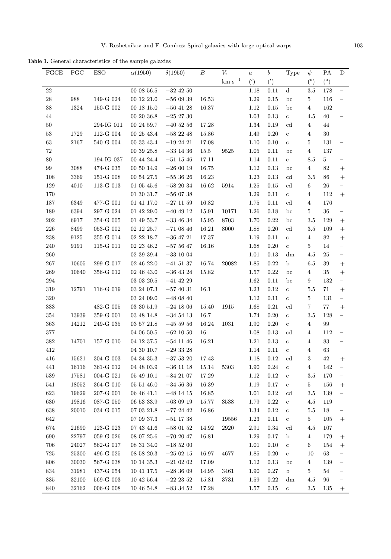Table 1. General characteristics of the sample galaxies

| FGCE              | PGC                 | <b>ESO</b>                  | $\alpha(1950)$ | $\delta(1950)$ | $\boldsymbol{B}$ | $V_{\rm r}$       | $\boldsymbol{a}$   | b                  | Type         | $\psi$         | <b>PA</b>      | ${\rm D}$                         |
|-------------------|---------------------|-----------------------------|----------------|----------------|------------------|-------------------|--------------------|--------------------|--------------|----------------|----------------|-----------------------------------|
|                   |                     |                             |                |                |                  | ${\rm km~s}^{-1}$ | $^{\prime\prime})$ | $^{\prime\prime})$ |              | $\binom{8}{ }$ | $\binom{8}{ }$ |                                   |
| $22\,$            |                     |                             | 000856.5       | $-32$ 42 50    |                  |                   | 1.18               | 0.11               | $\mathbf d$  | 3.5            | 178            |                                   |
| $28\,$            | 988                 | 149-G 024                   | 00 12 21.0     | $-56\ 09\ 39$  | 16.53            |                   | $1.29\,$           | 0.15               | bc           | 5              | 116            | $\overline{\phantom{0}}$          |
| $38\,$            | 1324                | 150-G 002                   | 00 18 15.0     | $-56\ 41\ 28$  | 16.37            |                   | 1.12               | 0.15               | bc           | $\overline{4}$ | 162            | $\overline{\phantom{0}}$          |
| 44                |                     |                             | 00 20 36.8     | $-25\ 27\ 30$  |                  |                   | 1.03               | 0.13               | $\mathbf c$  | 4.5            | 40             | $\overline{\phantom{a}}$          |
| $50\,$            |                     | 294-IG 011                  | 00 24 59.7     | $-40\,52\,56$  | 17.28            |                   | 1.34               | 0.19               | $_{\rm cd}$  | $\overline{4}$ | 44             | $\overline{\phantom{0}}$          |
| $53\,$            | 1729                | $112\mbox{-}\mathrm{G}$ 004 | $00\ 25\ 43.4$ | $-58\ 22\ 48$  | 15.86            |                   | 1.49               | 0.20               | $\mathbf{c}$ | 4              | 30             | $\qquad \qquad -$                 |
| $63\,$            | $2167\,$            | 540-G 004                   | $00\ 33\ 43.4$ | $-192421$      | 17.08            |                   | 1.10               | 0.10               | $\mathbf{C}$ | 5              | 131            | $\qquad \qquad -$                 |
| 72                |                     |                             | 00 39 25.8     | $-33\ 14\ 36$  | 15.5             | 9525              | 1.05               | 0.11               | bc           | 4              | 137            | $\hspace{1.0cm} - \hspace{1.0cm}$ |
| 80                |                     | 194-IG 037                  | 00 44 24.4     | $-51$ 15 46    | 17.11            |                   | 1.14               | 0.11               | $\mathbf c$  | 8.5            | $\bf 5$        | $\equiv$                          |
| $\boldsymbol{99}$ | 3088                | 474-G 035                   | 00 50 14.9     | $-26\ 00\ 19$  | 16.75            |                   | 1.12               | 0.13               | bc           | $\overline{4}$ | 82             | $^{+}$                            |
| 108               | 3369                | $151\text{-}\mathbf{G}$ 008 | $00\ 54\ 27.5$ | $-55\ 36\ 26$  | 16.23            |                   | $1.23\,$           | 0.13               | $_{\rm cd}$  | 3.5            | 86             |                                   |
| 129               | 4010                | 113-G 013                   | $01\ 05\ 45.6$ | $-58\ 20\ 34$  | 16.62            | 5914              | 1.25               | 0.15               | $_{\rm cd}$  | 6              | 26             | $\qquad \qquad -$                 |
| 170               |                     |                             | 01 30 31.7     | $-560738$      |                  |                   | 1.29               | 0.11               | $\rm{c}$     | 4              | 112            | $+$                               |
| 187               | 6349                | 477-G 001                   | 01 41 17.0     | $-27$ 11 59    | 16.82            |                   | 1.75               | 0.11               | $_{\rm cd}$  | 4              | 176            | $\overline{\phantom{a}}$          |
| 189               | 6394                | 297-G 024                   | 01 42 29.0     | $-40\ 49\ 12$  | 15.91            | 10171             | 1.26               | 0.18               | bc           | $\bf 5$        | 36             | $\overline{\phantom{0}}$          |
| $202\,$           | 6917                | $354\mbox{-}\mathrm{G}$ 005 | 01 49 53.7     | $-33\ 46\ 34$  | 15.95            | 8703              | 1.70               | 0.22               | bc           | 3.5            | 129            |                                   |
| $226\,$           | 8499                | 053-G 002                   | 02 12 25.7     | $-71$ 08 46    | 16.21            | 8000              | 1.88               | 0.20               | $_{\rm cd}$  | 3.5            | 109            |                                   |
| 238               | $\boldsymbol{9125}$ | $355\mbox{-}\mathrm{G}$ 014 | 02 22 18.7     | $-36\ 47\ 21$  | 17.37            |                   | 1.19               | 0.11               | $\mathbf c$  | $\overline{4}$ | 82             | $^{+}$                            |
| 240               | 9191                | 115-G 011                   | 02 23 46.2     | $-57\ 56\ 47$  | 16.16            |                   | 1.68               | 0.20               | $\mathbf{c}$ | 5              | 14             | $\hspace{1.0cm} - \hspace{1.0cm}$ |
| $260\,$           |                     |                             | $02\ 39\ 39.4$ | $-33$ 10 04    |                  |                   | 1.01               | 0.13               | dm           | 4.5            | 25             | $\qquad \qquad -$                 |
| $267\,$           | 10605               | 299-G 017                   | 02 46 22.0     | $-41\,51\,37$  | 16.74            | 20082             | 1.85               | 0.22               | $\mathbf b$  | 6.5            | 39             | $\boldsymbol{+}$                  |
| $269\,$           | 10640               | 356-G 012                   | 02 46 43.0     | $-36\ 43\ 24$  | 15.82            |                   | 1.57               | 0.22               | bc           | 4              | 35             |                                   |
| $\,294$           |                     |                             | $03\ 03\ 20.5$ | $-41$ 42 29    |                  |                   | 1.62               | 0.11               | bc           | 9              | 132            | $\overline{\phantom{0}}$          |
| $319\,$           | 12791               | 116-G 019                   | 03 24 07.3     | $-57$ 40 31    | 16.1             |                   | 1.23               | 0.12               | $\mathbf c$  | 5.5            | 71             | $^{+}$                            |
| 320               |                     |                             | 03 24 09.0     | $-480840$      |                  |                   | 1.12               | 0.11               | $\mathbf{c}$ | 5              | 131            | $\equiv$                          |
| $333\,$           |                     | 482-G 005                   | $03\ 30\ 51.9$ | $-24$ 18 06    | 15.40            | 1915              | 1.68               | 0.21               | $_{\rm cd}$  | $\overline{7}$ | 77             |                                   |
| $354\,$           | 13939               | $359\hbox{-}\mathrm{G}$ 001 | 03 48 14.8     | $-34\,54\,13$  | 16.7             |                   | 1.74               | 0.20               | $\mathbf{c}$ | $3.5\,$        | 128            | $\qquad \qquad -$                 |
| $363\,$           | 14212               | 249-G 035                   | 03 57 21.8     | $-45,59,56$    | 16.24            | 1031              | 1.90               | 0.20               | $\mathbf{c}$ | 4              | 99             | $\overline{\phantom{0}}$          |
| 377               |                     |                             | 04 06 50.5     | $-62\ 10\ 50$  | 16               |                   | 1.08               | 0.13               | $_{\rm cd}$  | 4              | 112            | $\overline{\phantom{0}}$          |
| $382\,$           | 14701               | 157-G 010                   | 04 12 37.5     | $-54$ 11 46    | 16.21            |                   | $1.21\,$           | $0.13\,$           | $\mathbf c$  | 4              | $83\,$         | $\equiv$                          |
| 412               |                     |                             | 04 30 10.7     | $-293328$      |                  |                   | 1.14               | 0.11               | $\mathbf{c}$ | $\overline{4}$ | 63             | $\equiv$                          |
| 416               | 15621               | 304-G 003                   | 04 34 35.3     | $-37\ 53\ 20$  | 17.43            |                   | 1.18               | 0.12               | $_{\rm cd}$  | 3              | 42             |                                   |
| 441               | 16116               | $361\mbox{-}\mathrm{G}$ 012 | 04 48 03.9     | $-36$ 11 18    | 15.14            | 5303              | 1.90               | $0.24\,$           | $\mathbf{C}$ | $\overline{4}$ | 142            |                                   |
| $539\,$           | 17581               | 004-G 021                   | $05\ 49\ 10.1$ | $-84$ 21 07    | 17.29            |                   | 1.12               | $0.12\,$           | $\mathbf{C}$ | 3.5            | 170            | $\overline{\phantom{0}}$          |
| 541               | 18052               | 364-G 010                   | 05 51 46.0     | $-34\,56\,36$  | 16.39            |                   | 1.19               | 0.17               | $\mathbf{C}$ | 5              | 156            | $^{+}$                            |
| 623               | 19629               | 207-G 001                   | 06 46 41.1     | $-48$ 14 15    | 16.85            |                   | 1.01               | 0.12               | $_{\rm cd}$  | 3.5            | 139            | $\hspace{1.0cm} - \hspace{1.0cm}$ |
| 630               | 19816               | $087$ -G $\,050$            | 06 53 33.9     | $-63\ 09\ 19$  | 15.77            | 3538              | 1.79               | $0.22\,$           | $\mathbf c$  | 4.5            | 119            | $\qquad \qquad -$                 |
| 638               | 20010               | $034\mbox{-}\mathrm{G}$ 015 | 07 03 21.8     | $-77\ 24\ 42$  | 16.86            |                   | 1.34               | 0.12               | $\mathbf c$  | 5.5            | 18             | $\qquad \qquad -$                 |
| 642               |                     |                             | $07\ 09\ 37.3$ | $-51\ 17\ 38$  |                  | 19556             | 1.23               | 0.11               | $\mathbf c$  | $\overline{5}$ | 105            | $^{+}$                            |
| 674               | 21690               | 123-G 023                   | $07\ 43\ 41.6$ | $-58\ 01\ 52$  | 14.92            | 2920              | $2.91\,$           | 0.34               | $_{\rm cd}$  | 4.5            | 107            | —                                 |
| 690               | 22797               | $059\text{-}\mathrm{G}$ 026 | 08 07 25.6     | $-70\ 20\ 47$  | 16.81            |                   | 1.29               | 0.17               | $\mathbf b$  | $\overline{4}$ | 179            | $^{+}$                            |
| 706               | 24027               | 562-G 017                   | 08 31 34.0     | $-18\ 52\ 00$  |                  |                   | 1.01               | 0.10               | $\mathbf{c}$ | 6              | 154            |                                   |
| $725\,$           | 25300               | $496\mbox{-}\mathrm{G}$ 025 | 08 58 20.3     | $-25\ 02\ 15$  | 16.97            | 4677              | 1.85               | 0.20               | $\mathbf{c}$ | 10             | 63             | —                                 |
| 806               | 30030               | 567-G 038                   | 10 14 35.3     | $-21\ 02\ 02$  | 17.09            |                   | 1.12               | 0.13               | bc           | $\overline{4}$ | 139            | $\qquad \qquad -$                 |
| 834               | 31981               | 437-G 054                   | 10 41 17.5     | $-28\ 36\ 09$  | 14.95            | 3461              | 1.90               | 0.27               | $\mathbf b$  | $\overline{5}$ | 54             | $\overline{\phantom{0}}$          |
| $835\,$           | 32100               | 569-G 003                   | 104256.4       | $-22\ 23\ 52$  | 15.81            | 3731              | 1.59               | 0.22               | dm           | 4.5            | 96             | $\qquad \qquad -$                 |
| 840               | 32162               | $006\mbox{-}\mathrm{G}$ 008 | $10\ 46\ 54.8$ | $-8333452$     | 17.28            |                   | 1.57               | 0.15               | $\mathbf c$  | 3.5            | 135            | $^{+}$                            |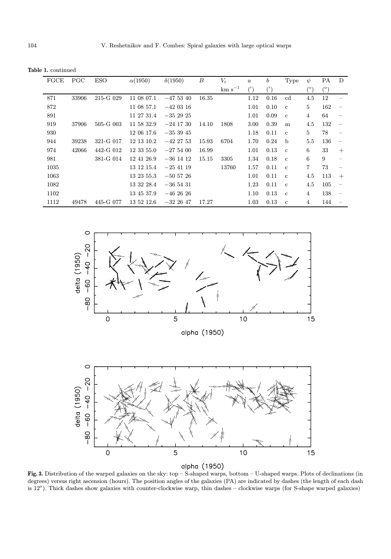Table 1. continued

| FGCE | <b>PGC</b> | <b>ESO</b> | $\alpha(1950)$ | $\delta(1950)$ | $\boldsymbol{B}$ | $V_{\rm r}$ | $\boldsymbol{a}$   | $\boldsymbol{b}$  | Type         | $\psi$         | <b>PA</b>  | D                        |
|------|------------|------------|----------------|----------------|------------------|-------------|--------------------|-------------------|--------------|----------------|------------|--------------------------|
|      |            |            |                |                |                  | $km s^{-1}$ | $^{\prime\prime})$ | $^{\prime\prime}$ |              | $\rm ^{(o)}$   | $^{\circ}$ |                          |
| 871  | 33906      | 215-G 029  | 11 08 07.1     | $-475340$      | 16.35            |             | 1.12               | 0.16              | cd           | 4.5            | 12         |                          |
| 872  |            |            | 11 08 57.1     | $-420316$      |                  |             | 1.01               | 0.10              | $\mathbf{c}$ | $\overline{5}$ | 162        |                          |
| 891  |            |            | 11 27 31.4     | $-352925$      |                  |             | 1.01               | 0.09              | $\mathbf{c}$ | $\overline{4}$ | 64         |                          |
| 919  | 37906      | 505-G 003  | 11 58 32.9     | $-24$ 17 30    | 14.10            | 1808        | 3.00               | 0.39              | m            | 4.5            | 132        |                          |
| 930  |            |            | 12 06 17.6     | $-353945$      |                  |             | 1.18               | 0.11              | $\mathbf{c}$ | 5              | 78         |                          |
| 944  | 39238      | 321-G 017  | 12 13 10.2     | $-42\;27\;53$  | 15.93            | 6704        | 1.70               | 0.24              | b            | 5.5            | 136        |                          |
| 974  | 42066      | 442-G 012  | 12 33 55.0     | $-27,54,00$    | 16.99            |             | 1.01               | 0.13              | $\mathbf{c}$ | 6              | 33         | $^{+}$                   |
| 981  |            | 381-G 014  | 12 41 26.9     | $-36$ 14 12    | 15.15            | 3305        | 1.34               | 0.18              | $\mathbf{c}$ | 6              | 9          |                          |
| 1035 |            |            | 13 12 15.4     | $-25$ 41 19    |                  | 13760       | 1.57               | 0.11              | $\mathbf{c}$ | $\overline{7}$ | 73         | -                        |
| 1063 |            |            | 13 23 55.3     | $-505726$      |                  |             | 1.01               | 0.11              | $\mathbf{c}$ | 4.5            | 113        | $^{+}$                   |
| 1082 |            |            | 13 32 28.4     | $-365431$      |                  |             | 1.23               | 0.11              | $\mathbf{c}$ | 4.5            | 105        | $\overline{\phantom{0}}$ |
| 1102 |            |            | 13 45 37.9     | $-46\;26\;26$  |                  |             | 1.10               | 0.13              | $\mathbf{c}$ | $\overline{4}$ | 138        |                          |
| 1112 | 49478      | 445-G 077  | 13 52 12.6     | $-322647$      | 17.27            |             | 1.03               | 0.13              | $\mathbf{c}$ | 4              | 144        |                          |



alpha (1950)



alpha (1950)

Fig. 3. Distribution of the warped galaxies on the sky: top – S-shaped warps, bottom – U-shaped warps. Plots of declinations (in degrees) versus right ascension (hours). The position angles of the galaxies (PA) are indicated by dashes (the length of each dash is  $12^{\circ}$ ). Thick dashes show galaxies with counter-clockwise warp, thin dashes – clockwise warps (for S-shape warped galaxies)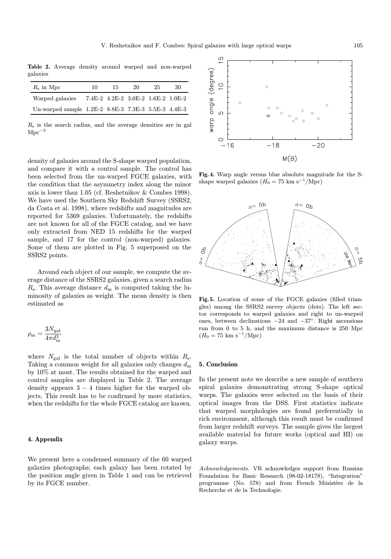Table 2. Average density around warped and non-warped galaxies

| $R_s$ in Mpc                                          | 10. | 15. | 20 | 25. | 30. |
|-------------------------------------------------------|-----|-----|----|-----|-----|
| Warped galaxies 7.4E-2 4.2E-2 3.0E-2 1.6E-2 1.0E-2    |     |     |    |     |     |
| Un-warped sample $1.2E-2$ 8.8E-3 7.3E-3 5.5E-3 4.4E-3 |     |     |    |     |     |

 $R<sub>s</sub>$  is the search radius, and the average densities are in gal  $Mpc<sup>-3</sup>$ 

density of galaxies around the S-shape warped population, and compare it with a control sample. The control has been selected from the un-warped FGCE galaxies, with the condition that the asymmetry index along the minor axis is lower than 1.05 (cf. Reshetnikov & Combes 1998). We have used the Southern Sky Redshift Survey (SSRS2, da Costa et al. 1998), where redshifts and magnitudes are reported for 5369 galaxies. Unfortunately, the redshifts are not known for all of the FGCE catalog, and we have only extracted from NED 15 redshifts for the warped sample, and 17 for the control (non-warped) galaxies. Some of them are plotted in Fig. 5 superposed on the SSRS2 points.

Around each object of our sample, we compute the average distance of the SSRS2 galaxies, given a search radius  $R<sub>s</sub>$ . This average distance  $d<sub>m</sub>$  is computed taking the luminosity of galaxies as weight. The mean density is then estimated as

$$
\rho_{\rm m}=\frac{3N_{\rm gal}}{4\pi d_{\rm m}^3}
$$

where  $N_{\text{gal}}$  is the total number of objects within  $R_{\text{s}}$ . Taking a common weight for all galaxies only changes  $d_{\rm m}$ by 10% at most. The results obtained for the warped and control samples are displayed in Table 2. The average density appears  $3 - 4$  times higher for the warped objects. This result has to be confirmed by more statistics, when the redshifts for the whole FGCE catalog are known.

#### 4. Appendix

We present here a condensed summary of the 60 warped galaxies photographs; each galaxy has been rotated by the position angle given in Table 1 and can be retrieved by its FGCE number.



Fig. 4. Warp angle versus blue absolute magnitude for the Sshape warped galaxies ( $H_0 = 75$  km s<sup>-1</sup>/Mpc)



Fig. 5. Location of some of the FGCE galaxies (filled triangles) among the SSRS2 survey objects (dots). The left sector corresponds to warped galaxies and right to un-warped ones, between declinations −24 and −37◦. Right ascensions run from 0 to 5 h, and the maximum distance is 250 Mpc  $(H_0 = 75 \text{ km s}^{-1}/\text{Mpc})$ 

#### 5. Conclusion

In the present note we describe a new sample of southern spiral galaxies demonstrating strong S-shape optical warps. The galaxies were selected on the basis of their optical images from the DSS. First statistics indicate that warped morphologies are found preferentially in rich environment, although this result must be confirmed from larger redshift surveys. The sample gives the largest available material for future works (optical and HI) on galaxy warps.

Acknowledgements. VR acknowledges support from Russian Foundation for Basic Research (98-02-18178), "Integration" programme (No. 578) and from French Ministère de la Recherche et de la Technologie.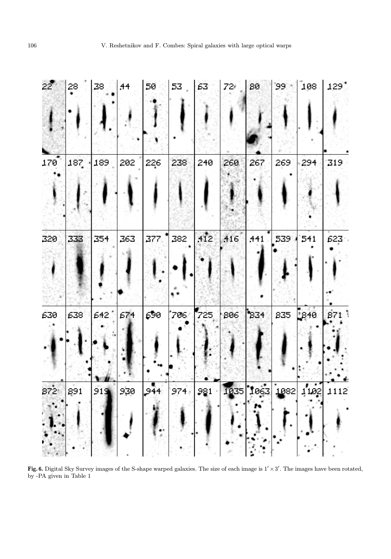

Fig. 6. Digital Sky Survey images of the S-shape warped galaxies. The size of each image is  $1' \times 3'$ . The images have been rotated, by -PA given in Table 1